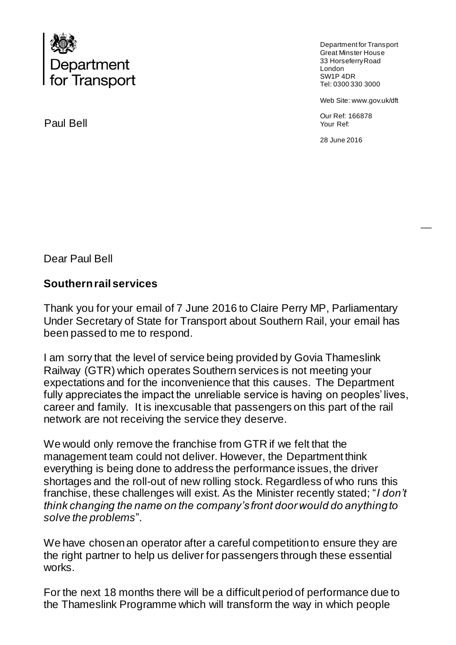

Paul Bell

Department for Transport Great Minster House 33 Horseferry Road London SW1P 4DR Tel: 0300 330 3000

Web Site: www.gov.uk/dft

Our Ref: 166878 Your Ref:

28 June 2016

Dear Paul Bell

## **Southern rail services**

Thank you for your email of 7 June 2016 to Claire Perry MP, Parliamentary Under Secretary of State for Transport about Southern Rail, your email has been passed to me to respond.

I am sorry that the level of service being provided by Govia Thameslink Railway (GTR) which operates Southern services is not meeting your expectations and for the inconvenience that this causes. The Department fully appreciates the impact the unreliable service is having on peoples' lives, career and family. It is inexcusable that passengers on this part of the rail network are not receiving the service they deserve.

We would only remove the franchise from GTR if we felt that the management team could not deliver. However, the Department think everything is being done to address the performance issues, the driver shortages and the roll-out of new rolling stock. Regardless of who runs this franchise, these challenges will exist. As the Minister recently stated; "*I don't think changing the name on the company's front door would do anything to solve the problems*".

We have chosen an operator after a careful competition to ensure they are the right partner to help us deliver for passengers through these essential works.

For the next 18 months there will be a difficult period of performance due to the Thameslink Programme which will transform the way in which people